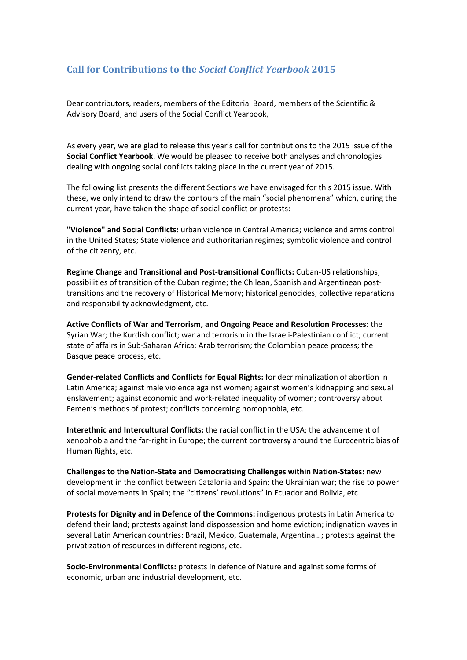## **Call for Contributions to the** *Social Conflict Yearbook* **2015**

Dear contributors, readers, members of the Editorial Board, members of the Scientific & Advisory Board, and users of the Social Conflict Yearbook,

As every year, we are glad to release this year's call for contributions to the 2015 issue of the **Social Conflict Yearbook**. We would be pleased to receive both analyses and chronologies dealing with ongoing social conflicts taking place in the current year of 2015.

The following list presents the different Sections we have envisaged for this 2015 issue. With these, we only intend to draw the contours of the main "social phenomena" which, during the current year, have taken the shape of social conflict or protests:

**"Violence" and Social Conflicts:** urban violence in Central America; violence and arms control in the United States; State violence and authoritarian regimes; symbolic violence and control of the citizenry, etc.

**Regime Change and Transitional and Post-transitional Conflicts:** Cuban-US relationships; possibilities of transition of the Cuban regime; the Chilean, Spanish and Argentinean posttransitions and the recovery of Historical Memory; historical genocides; collective reparations and responsibility acknowledgment, etc.

**Active Conflicts of War and Terrorism, and Ongoing Peace and Resolution Processes:** the Syrian War; the Kurdish conflict; war and terrorism in the Israeli-Palestinian conflict; current state of affairs in Sub-Saharan Africa; Arab terrorism; the Colombian peace process; the Basque peace process, etc.

**Gender-related Conflicts and Conflicts for Equal Rights:** for decriminalization of abortion in Latin America; against male violence against women; against women's kidnapping and sexual enslavement; against economic and work-related inequality of women; controversy about Femen's methods of protest; conflicts concerning homophobia, etc.

**Interethnic and Intercultural Conflicts:** the racial conflict in the USA; the advancement of xenophobia and the far-right in Europe; the current controversy around the Eurocentric bias of Human Rights, etc.

**Challenges to the Nation-State and Democratising Challenges within Nation-States:** new development in the conflict between Catalonia and Spain; the Ukrainian war; the rise to power of social movements in Spain; the "citizens' revolutions" in Ecuador and Bolivia, etc.

**Protests for Dignity and in Defence of the Commons:** indigenous protests in Latin America to defend their land; protests against land dispossession and home eviction; indignation waves in several Latin American countries: Brazil, Mexico, Guatemala, Argentina…; protests against the privatization of resources in different regions, etc.

**Socio-Environmental Conflicts:** protests in defence of Nature and against some forms of economic, urban and industrial development, etc.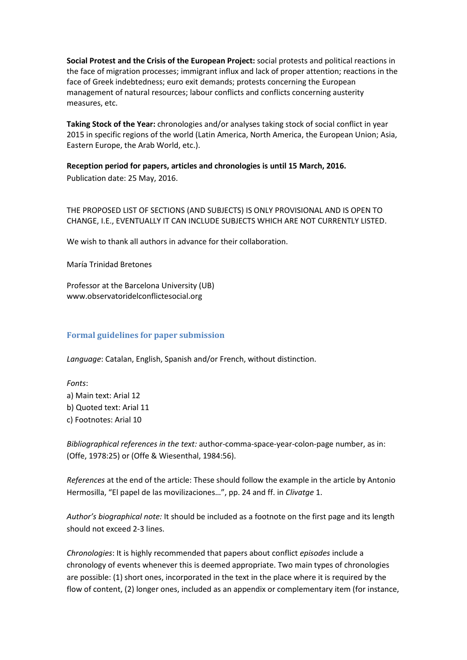**Social Protest and the Crisis of the European Project:** social protests and political reactions in the face of migration processes; immigrant influx and lack of proper attention; reactions in the face of Greek indebtedness; euro exit demands; protests concerning the European management of natural resources; labour conflicts and conflicts concerning austerity measures, etc.

**Taking Stock of the Year:** chronologies and/or analyses taking stock of social conflict in year 2015 in specific regions of the world (Latin America, North America, the European Union; Asia, Eastern Europe, the Arab World, etc.).

**Reception period for papers, articles and chronologies is until 15 March, 2016.** Publication date: 25 May, 2016.

THE PROPOSED LIST OF SECTIONS (AND SUBJECTS) IS ONLY PROVISIONAL AND IS OPEN TO CHANGE, I.E., EVENTUALLY IT CAN INCLUDE SUBJECTS WHICH ARE NOT CURRENTLY LISTED.

We wish to thank all authors in advance for their collaboration.

María Trinidad Bretones

Professor at the Barcelona University (UB) www.observatoridelconflictesocial.org

## **Formal guidelines for paper submission**

*Language*: Catalan, English, Spanish and/or French, without distinction.

*Fonts*: a) Main text: Arial 12 b) Quoted text: Arial 11 c) Footnotes: Arial 10

*Bibliographical references in the text:* author-comma-space-year-colon-page number, as in: (Offe, 1978:25) or (Offe & Wiesenthal, 1984:56).

*References* at the end of the article: These should follow the example in the article by Antonio Hermosilla, "El papel de las movilizaciones…", pp. 24 and ff. in *Clivatge* 1.

*Author's biographical note:* It should be included as a footnote on the first page and its length should not exceed 2-3 lines.

*Chronologies*: It is highly recommended that papers about conflict *episodes* include a chronology of events whenever this is deemed appropriate. Two main types of chronologies are possible: (1) short ones, incorporated in the text in the place where it is required by the flow of content, (2) longer ones, included as an appendix or complementary item (for instance,